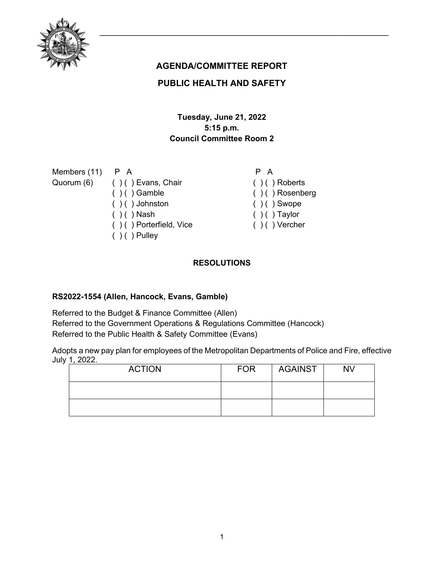

# **AGENDA/COMMITTEE REPORT**

# **PUBLIC HEALTH AND SAFETY**

## **Tuesday, June 21, 2022 5:15 p.m. Council Committee Room 2**

| Members (11) P A |                               |
|------------------|-------------------------------|
|                  | Quorum (6) () () Evans, Chair |
|                  | $( )$ ( ) Gamble              |
|                  | $( ) ( )$ Johnston            |
|                  | $( )$ ( ) Nash                |
|                  | $( )$ ( ) Porterfield, Vice   |

 $( ) ( )$  Pulley

 $( )$  ( ) Roberts

P A

- ( ) ( ) Rosenberg
- $( ) ( )$  Swope
- $( )$   $( )$  Taylor
- ( ) ( ) Vercher

# **RESOLUTIONS**

## **RS2022-1554 (Allen, Hancock, Evans, Gamble)**

Referred to the Budget & Finance Committee (Allen) Referred to the Government Operations & Regulations Committee (Hancock) Referred to the Public Health & Safety Committee (Evans)

Adopts a new pay plan for employees of the Metropolitan Departments of Police and Fire, effective July 1, 2022.

| <b>ACTION</b> | <b>FOR</b> | AGAINST | <b>NV</b> |
|---------------|------------|---------|-----------|
|               |            |         |           |
|               |            |         |           |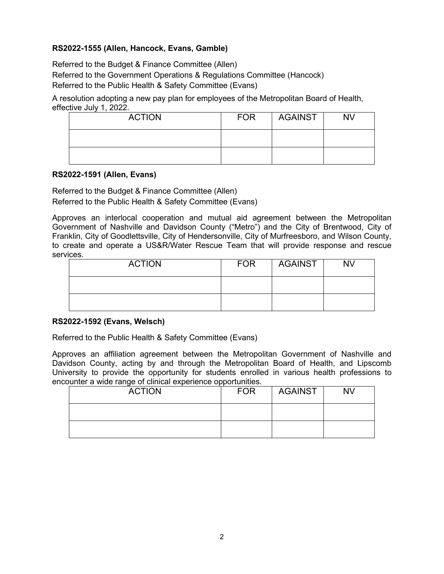## **RS2022-1555 (Allen, Hancock, Evans, Gamble)**

Referred to the Budget & Finance Committee (Allen) Referred to the Government Operations & Regulations Committee (Hancock) Referred to the Public Health & Safety Committee (Evans)

A resolution adopting a new pay plan for employees of the Metropolitan Board of Health, effective July 1, 2022.

| <b>ACTION</b> | <b>FOR</b> | AGAINST | <b>NV</b> |
|---------------|------------|---------|-----------|
|               |            |         |           |
|               |            |         |           |

#### **RS2022-1591 (Allen, Evans)**

Referred to the Budget & Finance Committee (Allen)

Referred to the Public Health & Safety Committee (Evans)

Approves an interlocal cooperation and mutual aid agreement between the Metropolitan Government of Nashville and Davidson County ("Metro") and the City of Brentwood, City of Franklin, City of Goodlettsville, City of Hendersonville, City of Murfreesboro, and Wilson County, to create and operate a US&R/Water Rescue Team that will provide response and rescue services.

| <b>ACTION</b> | <b>FOR</b> | <b>AGAINST</b> | <b>NV</b> |
|---------------|------------|----------------|-----------|
|               |            |                |           |
|               |            |                |           |

### **RS2022-1592 (Evans, Welsch)**

Referred to the Public Health & Safety Committee (Evans)

Approves an affiliation agreement between the Metropolitan Government of Nashville and Davidson County, acting by and through the Metropolitan Board of Health, and Lipscomb University to provide the opportunity for students enrolled in various health professions to encounter a wide range of clinical experience opportunities.

| <b>ACTION</b> | <b>FOR</b> | AGAINST | <b>NV</b> |
|---------------|------------|---------|-----------|
|               |            |         |           |
|               |            |         |           |